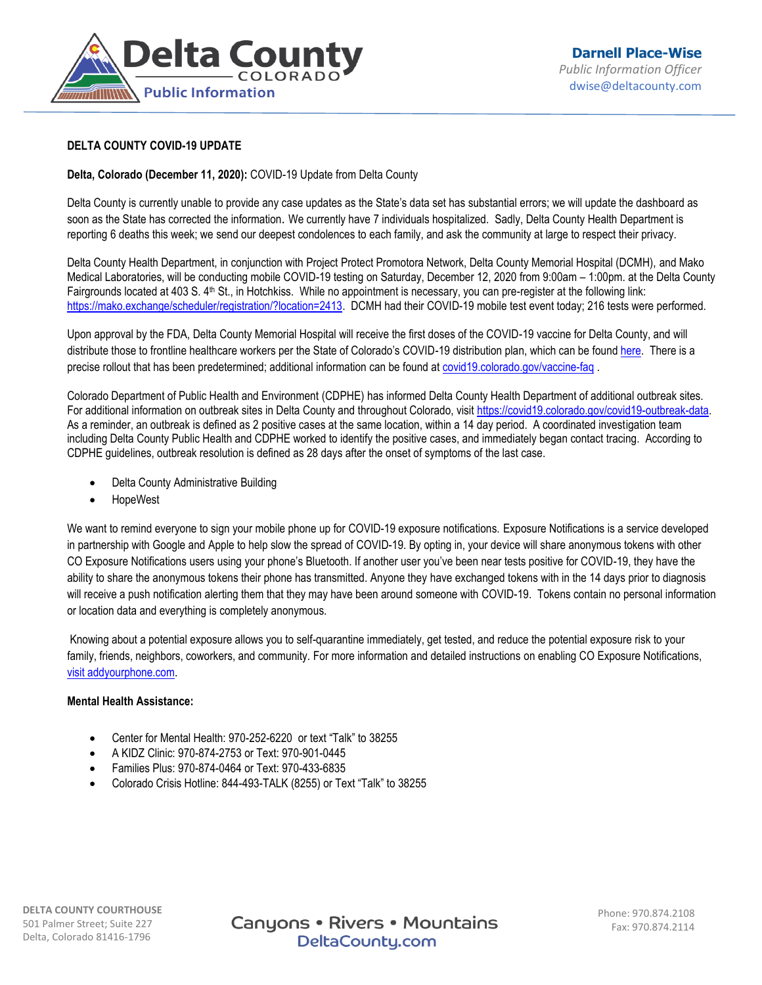

## **DELTA COUNTY COVID-19 UPDATE**

## **Delta, Colorado (December 11, 2020):** COVID-19 Update from Delta County

Delta County is currently unable to provide any case updates as the State's data set has substantial errors; we will update the dashboard as soon as the State has corrected the information. We currently have 7 individuals hospitalized. Sadly, Delta County Health Department is reporting 6 deaths this week; we send our deepest condolences to each family, and ask the community at large to respect their privacy.

Delta County Health Department, in conjunction with Project Protect Promotora Network, Delta County Memorial Hospital (DCMH), and Mako Medical Laboratories, will be conducting mobile COVID-19 testing on Saturday, December 12, 2020 from 9:00am – 1:00pm. at the Delta County Fairgrounds located at 403 S. 4<sup>th</sup> St., in Hotchkiss. While no appointment is necessary, you can pre-register at the following link: [https://mako.exchange/scheduler/registration/?location=2413.](https://mako.exchange/scheduler/registration/?location=2413&fbclid=IwAR2h2DXdPELETCybMVoJrRNq8zy0VMtR5BP7e45T1lXFJNpUNGx7IpgthjE) DCMH had their COVID-19 mobile test event today; 216 tests were performed.

Upon approval by the FDA, Delta County Memorial Hospital will receive the first doses of the COVID-19 vaccine for Delta County, and will distribute those to frontline healthcare workers per the State of Colorado's COVID-19 distribution plan, which can be found [here.](https://covid19.colorado.gov/vaccine) There is a precise rollout that has been predetermined; additional information can be found at [covid19.colorado.gov/vaccine-faq](https://covid19.colorado.gov/vaccine-faq) .

Colorado Department of Public Health and Environment (CDPHE) has informed Delta County Health Department of additional outbreak sites. For additional information on outbreak sites in Delta County and throughout Colorado, visi[t https://covid19.colorado.gov/covid19-outbreak-data.](https://covid19.colorado.gov/covid19-outbreak-data) As a reminder, an outbreak is defined as 2 positive cases at the same location, within a 14 day period. A coordinated investigation team including Delta County Public Health and CDPHE worked to identify the positive cases, and immediately began contact tracing. According to CDPHE guidelines, outbreak resolution is defined as 28 days after the onset of symptoms of the last case.

- Delta County Administrative Building
- **HopeWest**

We want to remind everyone to sign your mobile phone up for COVID-19 exposure notifications. Exposure Notifications is a service developed in partnership with Google and Apple to help slow the spread of COVID-19. By opting in, your device will share anonymous tokens with other CO Exposure Notifications users using your phone's Bluetooth. If another user you've been near tests positive for COVID-19, they have the ability to share the anonymous tokens their phone has transmitted. Anyone they have exchanged tokens with in the 14 days prior to diagnosis will receive a push notification alerting them that they may have been around someone with COVID-19. Tokens contain no personal information or location data and everything is completely anonymous.

Knowing about a potential exposure allows you to self-quarantine immediately, get tested, and reduce the potential exposure risk to your family, friends, neighbors, coworkers, and community. For more information and detailed instructions on enabling CO Exposure Notifications, [visit addyourphone.com.](https://www.addyourphone.com/) 

## **Mental Health Assistance:**

- Center for Mental Health: 970-252-6220 or text "Talk" to 38255
- A KIDZ Clinic: 970-874-2753 or Text: 970-901-0445
- Families Plus: 970-874-0464 or Text: 970-433-6835
- Colorado Crisis Hotline: 844-493-TALK (8255) or Text "Talk" to 38255